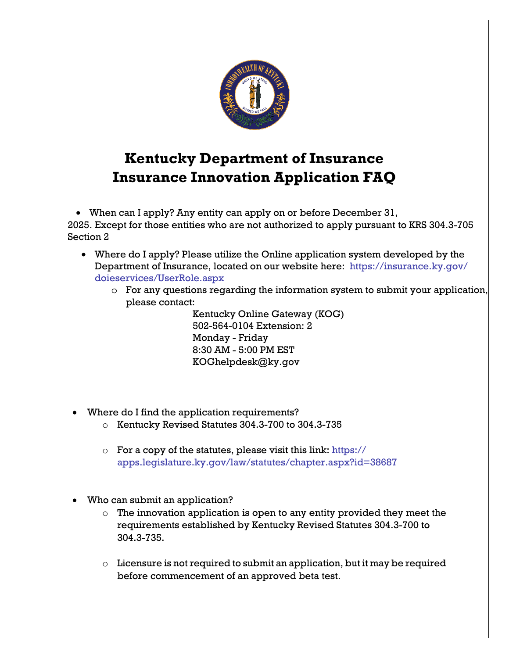

## **Kentucky Department of Insurance Insurance Innovation Application FAQ**

• When can I apply? Any entity can apply on or before December 31, 2025. Except for those entities who are not authorized to apply pursuant to KRS 304.3-705 Section 2

- Where do I apply? Please utilize the Online application system developed by the [Department of Insurance, located on our website here: https://insurance.ky.gov/](https://insurance.ky.gov/doieservices/UserRole.aspx) doieservices/UserRole.aspx
	- o For any questions regarding the information system to submit your application, please contact:

Kentucky Online Gateway (KOG) 502-564-0104 Extension: 2 Monday - Friday 8:30 AM - 5:00 PM EST KOGhelpdesk@ky.gov

- Where do I find the application requirements?
	- o Kentucky Revised Statutes 304.3-700 to 304.3-735
	- $\circ$  For a copy of the statutes, please visit this link: https:// [apps.legislature.ky.gov/law/statutes/chapter.aspx?id=38687](https://apps.legislature.ky.gov/law/statutes/chapter.aspx?id=38687)
- Who can submit an application?
	- $\circ$  The innovation application is open to any entity provided they meet the requirements established by Kentucky Revised Statutes 304.3-700 to 304.3-735.
	- $\circ$  Licensure is not required to submit an application, but it may be required before commencement of an approved beta test.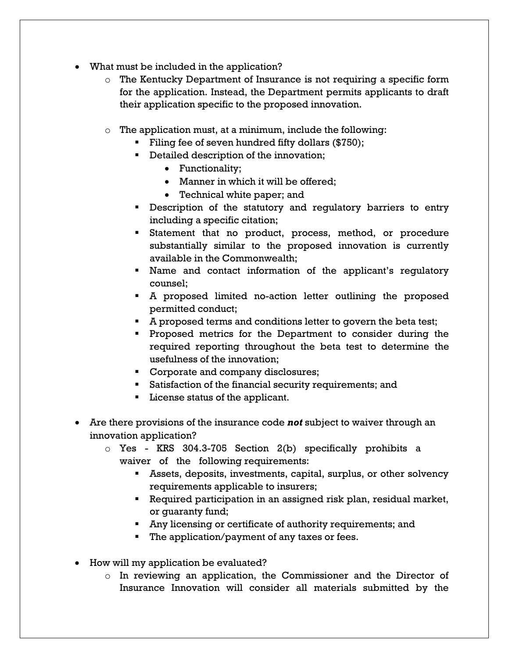- What must be included in the application?
	- $\circ$  The Kentucky Department of Insurance is not requiring a specific form for the application. Instead, the Department permits applicants to draft their application specific to the proposed innovation.
	- o The application must, at a minimum, include the following:
		- Filing fee of seven hundred fifty dollars  $(\$750)$ ;
		- **•** Detailed description of the innovation;
			- Functionality;
			- Manner in which it will be offered;
			- Technical white paper; and
		- **Description of the statutory and regulatory barriers to entry** including a specific citation;
		- Statement that no product, process, method, or procedure substantially similar to the proposed innovation is currently available in the Commonwealth;
		- Name and contact information of the applicant's regulatory counsel;
		- A proposed limited no-action letter outlining the proposed permitted conduct;
		- A proposed terms and conditions letter to govern the beta test;
		- **Proposed metrics for the Department to consider during the** required reporting throughout the beta test to determine the usefulness of the innovation;
		- **Corporate and company disclosures;**
		- **Satisfaction of the financial security requirements; and**
		- **License status of the applicant.**
- Are there provisions of the insurance code *not* subject to waiver through an innovation application?
	- o Yes KRS 304.3-705 Section 2(b) specifically prohibits a waiver of the following requirements:
		- Assets, deposits, investments, capital, surplus, or other solvency requirements applicable to insurers;
		- Required participation in an assigned risk plan, residual market, or guaranty fund;
		- Any licensing or certificate of authority requirements; and
		- The application/payment of any taxes or fees.
- How will my application be evaluated?
	- o In reviewing an application, the Commissioner and the Director of Insurance Innovation will consider all materials submitted by the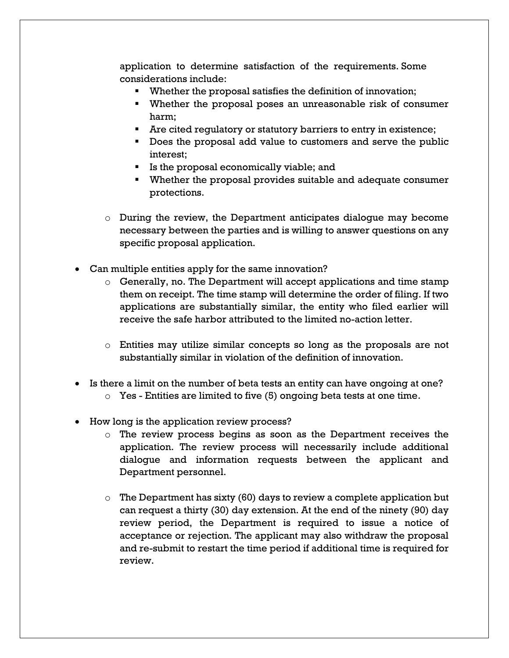application to determine satisfaction of the requirements. Some considerations include:

- Whether the proposal satisfies the definition of innovation;
- Whether the proposal poses an unreasonable risk of consumer harm;
- Are cited regulatory or statutory barriers to entry in existence;
- Does the proposal add value to customers and serve the public interest;
- If Is the proposal economically viable; and
- Whether the proposal provides suitable and adequate consumer protections.
- $\circ$  During the review, the Department anticipates dialogue may become necessary between the parties and is willing to answer questions on any specific proposal application.
- Can multiple entities apply for the same innovation?
	- $\circ$  Generally, no. The Department will accept applications and time stamp them on receipt. The time stamp will determine the order of filing. If two applications are substantially similar, the entity who filed earlier will receive the safe harbor attributed to the limited no-action letter.
	- $\circ$  Entities may utilize similar concepts so long as the proposals are not substantially similar in violation of the definition of innovation.
- Is there a limit on the number of beta tests an entity can have ongoing at one?
	- $\circ$  Yes Entities are limited to five (5) ongoing beta tests at one time.
- How long is the application review process?
	- o The review process begins as soon as the Department receives the application. The review process will necessarily include additional dialogue and information requests between the applicant and Department personnel.
	- $\circ$  The Department has sixty (60) days to review a complete application but can request a thirty (30) day extension. At the end of the ninety (90) day review period, the Department is required to issue a notice of acceptance or rejection. The applicant may also withdraw the proposal and re-submit to restart the time period if additional time is required for review.